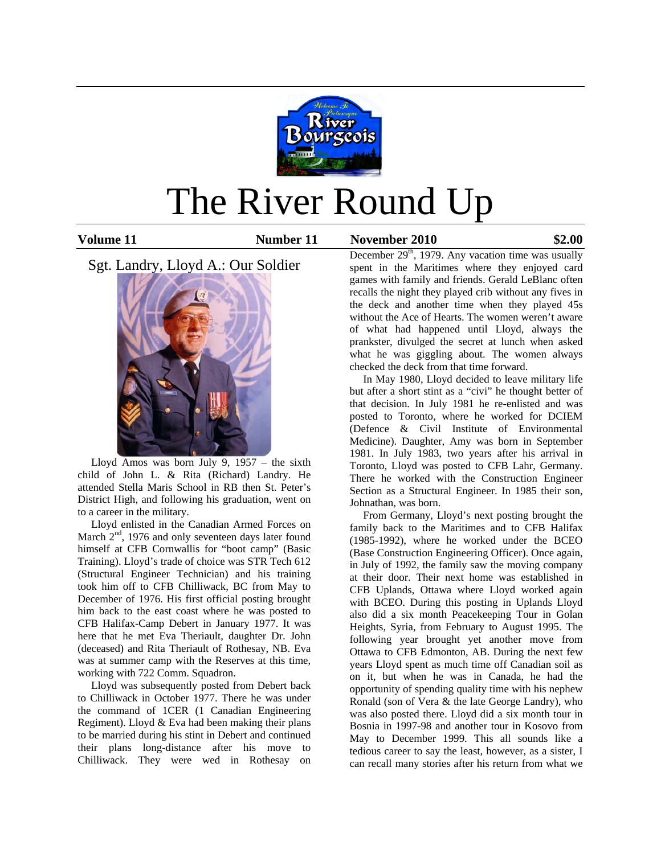

# The River Round Up

**Volume 11 Number 11 November 2010 \$2.00**

Sgt. Landry, Lloyd A.: Our Soldier



 Lloyd Amos was born July 9, 1957 – the sixth child of John L. & Rita (Richard) Landry. He attended Stella Maris School in RB then St. Peter's District High, and following his graduation, went on to a career in the military.

 Lloyd enlisted in the Canadian Armed Forces on March  $2<sup>nd</sup>$ , 1976 and only seventeen days later found himself at CFB Cornwallis for "boot camp" (Basic Training). Lloyd's trade of choice was STR Tech 612 (Structural Engineer Technician) and his training took him off to CFB Chilliwack, BC from May to December of 1976. His first official posting brought him back to the east coast where he was posted to CFB Halifax-Camp Debert in January 1977. It was here that he met Eva Theriault, daughter Dr. John (deceased) and Rita Theriault of Rothesay, NB. Eva was at summer camp with the Reserves at this time, working with 722 Comm. Squadron.

 Lloyd was subsequently posted from Debert back to Chilliwack in October 1977. There he was under the command of 1CER (1 Canadian Engineering Regiment). Lloyd & Eva had been making their plans to be married during his stint in Debert and continued their plans long-distance after his move to Chilliwack. They were wed in Rothesay on

December  $29<sup>th</sup>$ , 1979. Any vacation time was usually spent in the Maritimes where they enjoyed card games with family and friends. Gerald LeBlanc often recalls the night they played crib without any fives in the deck and another time when they played 45s without the Ace of Hearts. The women weren't aware of what had happened until Lloyd, always the prankster, divulged the secret at lunch when asked what he was giggling about. The women always checked the deck from that time forward.

 In May 1980, Lloyd decided to leave military life but after a short stint as a "civi" he thought better of that decision. In July 1981 he re-enlisted and was posted to Toronto, where he worked for DCIEM (Defence & Civil Institute of Environmental Medicine). Daughter, Amy was born in September 1981. In July 1983, two years after his arrival in Toronto, Lloyd was posted to CFB Lahr, Germany. There he worked with the Construction Engineer Section as a Structural Engineer. In 1985 their son, Johnathan, was born.

 From Germany, Lloyd's next posting brought the family back to the Maritimes and to CFB Halifax (1985-1992), where he worked under the BCEO (Base Construction Engineering Officer). Once again, in July of 1992, the family saw the moving company at their door. Their next home was established in CFB Uplands, Ottawa where Lloyd worked again with BCEO. During this posting in Uplands Lloyd also did a six month Peacekeeping Tour in Golan Heights, Syria, from February to August 1995. The following year brought yet another move from Ottawa to CFB Edmonton, AB. During the next few years Lloyd spent as much time off Canadian soil as on it, but when he was in Canada, he had the opportunity of spending quality time with his nephew Ronald (son of Vera & the late George Landry), who was also posted there. Lloyd did a six month tour in Bosnia in 1997-98 and another tour in Kosovo from May to December 1999. This all sounds like a tedious career to say the least, however, as a sister, I can recall many stories after his return from what we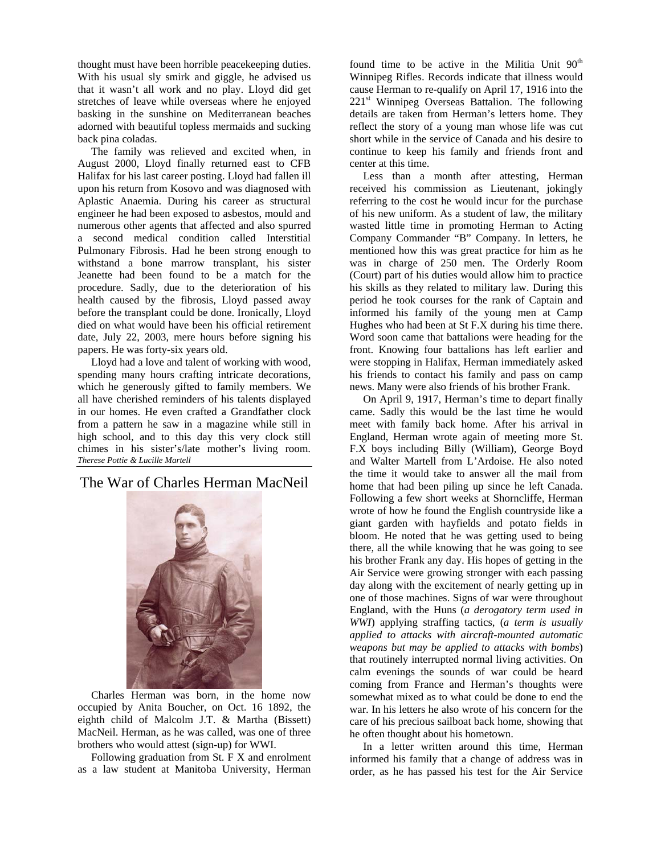thought must have been horrible peacekeeping duties. With his usual sly smirk and giggle, he advised us that it wasn't all work and no play. Lloyd did get stretches of leave while overseas where he enjoyed basking in the sunshine on Mediterranean beaches adorned with beautiful topless mermaids and sucking back pina coladas.

 The family was relieved and excited when, in August 2000, Lloyd finally returned east to CFB Halifax for his last career posting. Lloyd had fallen ill upon his return from Kosovo and was diagnosed with Aplastic Anaemia. During his career as structural engineer he had been exposed to asbestos, mould and numerous other agents that affected and also spurred a second medical condition called Interstitial Pulmonary Fibrosis. Had he been strong enough to withstand a bone marrow transplant, his sister Jeanette had been found to be a match for the procedure. Sadly, due to the deterioration of his health caused by the fibrosis, Lloyd passed away before the transplant could be done. Ironically, Lloyd died on what would have been his official retirement date, July 22, 2003, mere hours before signing his papers. He was forty-six years old.

 Lloyd had a love and talent of working with wood, spending many hours crafting intricate decorations, which he generously gifted to family members. We all have cherished reminders of his talents displayed in our homes. He even crafted a Grandfather clock from a pattern he saw in a magazine while still in high school, and to this day this very clock still chimes in his sister's/late mother's living room. *Therese Pottie & Lucille Martell*

The War of Charles Herman MacNeil



 Charles Herman was born, in the home now occupied by Anita Boucher, on Oct. 16 1892, the eighth child of Malcolm J.T. & Martha (Bissett) MacNeil. Herman, as he was called, was one of three brothers who would attest (sign-up) for WWI.

 Following graduation from St. F X and enrolment as a law student at Manitoba University, Herman

found time to be active in the Militia Unit  $90<sup>th</sup>$ Winnipeg Rifles. Records indicate that illness would cause Herman to re-qualify on April 17, 1916 into the 221<sup>st</sup> Winnipeg Overseas Battalion. The following details are taken from Herman's letters home. They reflect the story of a young man whose life was cut short while in the service of Canada and his desire to continue to keep his family and friends front and center at this time.

 Less than a month after attesting, Herman received his commission as Lieutenant, jokingly referring to the cost he would incur for the purchase of his new uniform. As a student of law, the military wasted little time in promoting Herman to Acting Company Commander "B" Company. In letters, he mentioned how this was great practice for him as he was in charge of 250 men. The Orderly Room (Court) part of his duties would allow him to practice his skills as they related to military law. During this period he took courses for the rank of Captain and informed his family of the young men at Camp Hughes who had been at St F.X during his time there. Word soon came that battalions were heading for the front. Knowing four battalions has left earlier and were stopping in Halifax, Herman immediately asked his friends to contact his family and pass on camp news. Many were also friends of his brother Frank.

 On April 9, 1917, Herman's time to depart finally came. Sadly this would be the last time he would meet with family back home. After his arrival in England, Herman wrote again of meeting more St. F.X boys including Billy (William), George Boyd and Walter Martell from L'Ardoise. He also noted the time it would take to answer all the mail from home that had been piling up since he left Canada. Following a few short weeks at Shorncliffe, Herman wrote of how he found the English countryside like a giant garden with hayfields and potato fields in bloom. He noted that he was getting used to being there, all the while knowing that he was going to see his brother Frank any day. His hopes of getting in the Air Service were growing stronger with each passing day along with the excitement of nearly getting up in one of those machines. Signs of war were throughout England, with the Huns (*a derogatory term used in WWI*) applying straffing tactics, (*a term is usually applied to attacks with aircraft-mounted automatic weapons but may be applied to attacks with bombs*) that routinely interrupted normal living activities. On calm evenings the sounds of war could be heard coming from France and Herman's thoughts were somewhat mixed as to what could be done to end the war. In his letters he also wrote of his concern for the care of his precious sailboat back home, showing that he often thought about his hometown.

 In a letter written around this time, Herman informed his family that a change of address was in order, as he has passed his test for the Air Service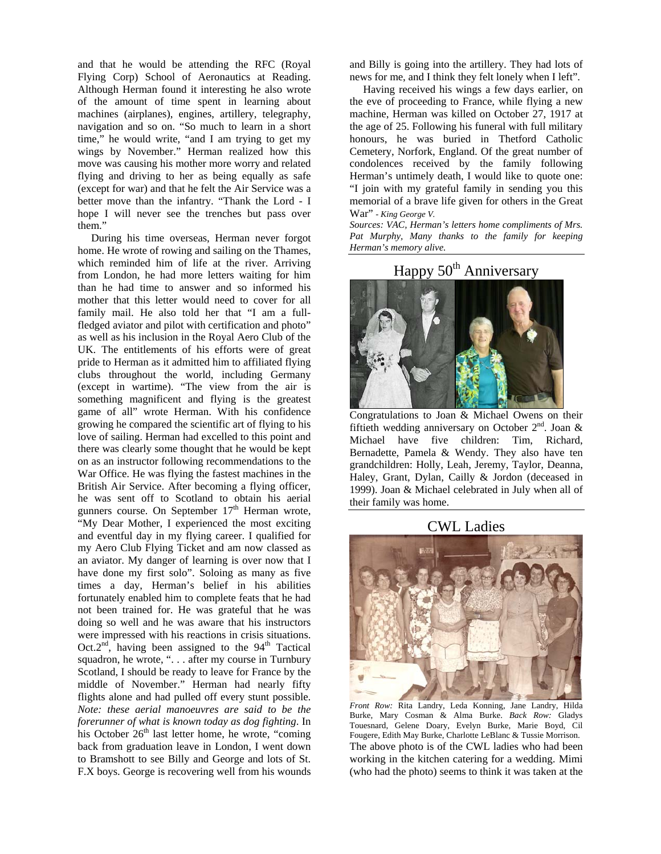and that he would be attending the RFC (Royal Flying Corp) School of Aeronautics at Reading. Although Herman found it interesting he also wrote of the amount of time spent in learning about machines (airplanes), engines, artillery, telegraphy, navigation and so on. "So much to learn in a short time," he would write, "and I am trying to get my wings by November." Herman realized how this move was causing his mother more worry and related flying and driving to her as being equally as safe (except for war) and that he felt the Air Service was a better move than the infantry. "Thank the Lord - I hope I will never see the trenches but pass over them."

 During his time overseas, Herman never forgot home. He wrote of rowing and sailing on the Thames, which reminded him of life at the river. Arriving from London, he had more letters waiting for him than he had time to answer and so informed his mother that this letter would need to cover for all family mail. He also told her that "I am a fullfledged aviator and pilot with certification and photo" as well as his inclusion in the Royal Aero Club of the UK. The entitlements of his efforts were of great pride to Herman as it admitted him to affiliated flying clubs throughout the world, including Germany (except in wartime). "The view from the air is something magnificent and flying is the greatest game of all" wrote Herman. With his confidence growing he compared the scientific art of flying to his love of sailing. Herman had excelled to this point and there was clearly some thought that he would be kept on as an instructor following recommendations to the War Office. He was flying the fastest machines in the British Air Service. After becoming a flying officer, he was sent off to Scotland to obtain his aerial gunners course. On September  $17<sup>th</sup>$  Herman wrote, "My Dear Mother, I experienced the most exciting and eventful day in my flying career. I qualified for my Aero Club Flying Ticket and am now classed as an aviator. My danger of learning is over now that I have done my first solo". Soloing as many as five times a day, Herman's belief in his abilities fortunately enabled him to complete feats that he had not been trained for. He was grateful that he was doing so well and he was aware that his instructors were impressed with his reactions in crisis situations. Oct. $2<sup>nd</sup>$ , having been assigned to the 94<sup>th</sup> Tactical squadron, he wrote, ". . . after my course in Turnbury Scotland, I should be ready to leave for France by the middle of November." Herman had nearly fifty flights alone and had pulled off every stunt possible. *Note: these aerial manoeuvres are said to be the forerunner of what is known today as dog fighting*. In his October 26<sup>th</sup> last letter home, he wrote, "coming back from graduation leave in London, I went down to Bramshott to see Billy and George and lots of St. F.X boys. George is recovering well from his wounds and Billy is going into the artillery. They had lots of news for me, and I think they felt lonely when I left".

 Having received his wings a few days earlier, on the eve of proceeding to France, while flying a new machine, Herman was killed on October 27, 1917 at the age of 25. Following his funeral with full military honours, he was buried in Thetford Catholic Cemetery, Norfork, England. Of the great number of condolences received by the family following Herman's untimely death, I would like to quote one: "I join with my grateful family in sending you this memorial of a brave life given for others in the Great War" *- King George V.*

*Sources: VAC, Herman's letters home compliments of Mrs. Pat Murphy, Many thanks to the family for keeping Herman's memory alive.* 

# Happy  $50<sup>th</sup>$  Anniversary



Congratulations to Joan & Michael Owens on their fiftieth wedding anniversary on October  $2<sup>nd</sup>$ . Joan & Michael have five children: Tim, Richard, Bernadette, Pamela & Wendy. They also have ten grandchildren: Holly, Leah, Jeremy, Taylor, Deanna, Haley, Grant, Dylan, Cailly & Jordon (deceased in 1999). Joan & Michael celebrated in July when all of their family was home.

CWL Ladies



*Front Row:* Rita Landry, Leda Konning, Jane Landry, Hilda Burke, Mary Cosman & Alma Burke. *Back Row:* Gladys Touesnard, Gelene Doary, Evelyn Burke, Marie Boyd, Cil Fougere, Edith May Burke, Charlotte LeBlanc & Tussie Morrison. The above photo is of the CWL ladies who had been working in the kitchen catering for a wedding. Mimi (who had the photo) seems to think it was taken at the